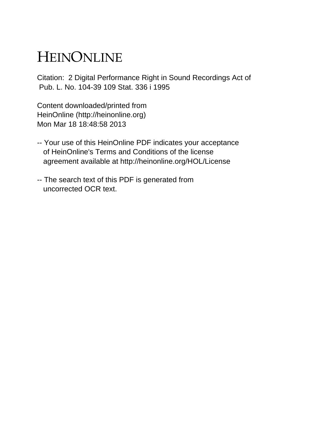## HEINONLINE

Citation: 2 Digital Performance Right in Sound Recordings Act of Pub. L. No. 104-39 109 Stat. 336 i 1995

Content downloaded/printed from HeinOnline (http://heinonline.org) Mon Mar 18 18:48:58 2013

- -- Your use of this HeinOnline PDF indicates your acceptance of HeinOnline's Terms and Conditions of the license agreement available at http://heinonline.org/HOL/License
- -- The search text of this PDF is generated from uncorrected OCR text.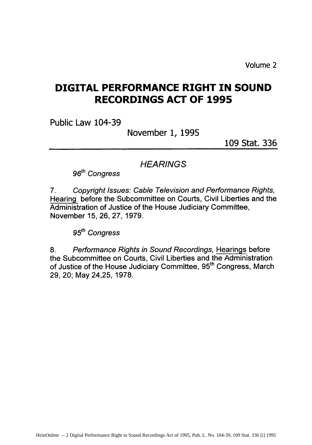Volume 2

## **DIGITAL PERFORMANCE RIGHT IN SOUND RECORDINGS ACT OF 1995**

Public Law 104-39

November 1, 1995

109 Stat. 336

**HEARINGS** 

96<sup>th</sup> Congress

7. Copyright Issues: Cable Television and Performance Rights, Hearing before the Subcommittee on Courts, Civil Liberties and the Administration of Justice of the House Judiciary Committee, November 15, 26, 27, 1979.

95<sup>th</sup> Congress

8. Performance Rights in Sound Recordings, Hearings before the Subcommittee on Courts, Civil Liberties and the Administration of Justice of the House Judiciary Committee, 95<sup>th</sup> Congress, March 29, 20; May 24,25, 1978.